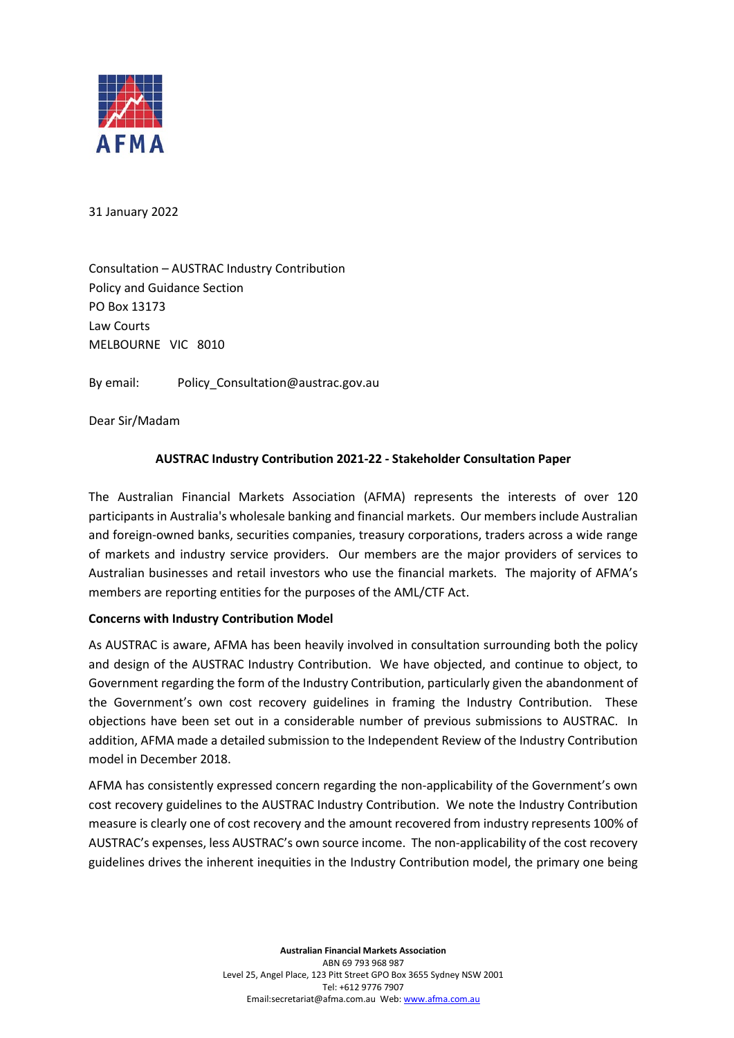

31 January 2022

Consultation – AUSTRAC Industry Contribution Policy and Guidance Section PO Box 13173 Law Courts MELBOURNE VIC 8010

By email: Policy Consultation@austrac.gov.au

Dear Sir/Madam

### **AUSTRAC Industry Contribution 2021-22 - Stakeholder Consultation Paper**

The Australian Financial Markets Association (AFMA) represents the interests of over 120 participants in Australia's wholesale banking and financial markets. Our members include Australian and foreign-owned banks, securities companies, treasury corporations, traders across a wide range of markets and industry service providers. Our members are the major providers of services to Australian businesses and retail investors who use the financial markets. The majority of AFMA's members are reporting entities for the purposes of the AML/CTF Act.

#### **Concerns with Industry Contribution Model**

As AUSTRAC is aware, AFMA has been heavily involved in consultation surrounding both the policy and design of the AUSTRAC Industry Contribution. We have objected, and continue to object, to Government regarding the form of the Industry Contribution, particularly given the abandonment of the Government's own cost recovery guidelines in framing the Industry Contribution. These objections have been set out in a considerable number of previous submissions to AUSTRAC. In addition, AFMA made a detailed submission to the Independent Review of the Industry Contribution model in December 2018.

AFMA has consistently expressed concern regarding the non-applicability of the Government's own cost recovery guidelines to the AUSTRAC Industry Contribution. We note the Industry Contribution measure is clearly one of cost recovery and the amount recovered from industry represents 100% of AUSTRAC's expenses, less AUSTRAC's own source income. The non-applicability of the cost recovery guidelines drives the inherent inequities in the Industry Contribution model, the primary one being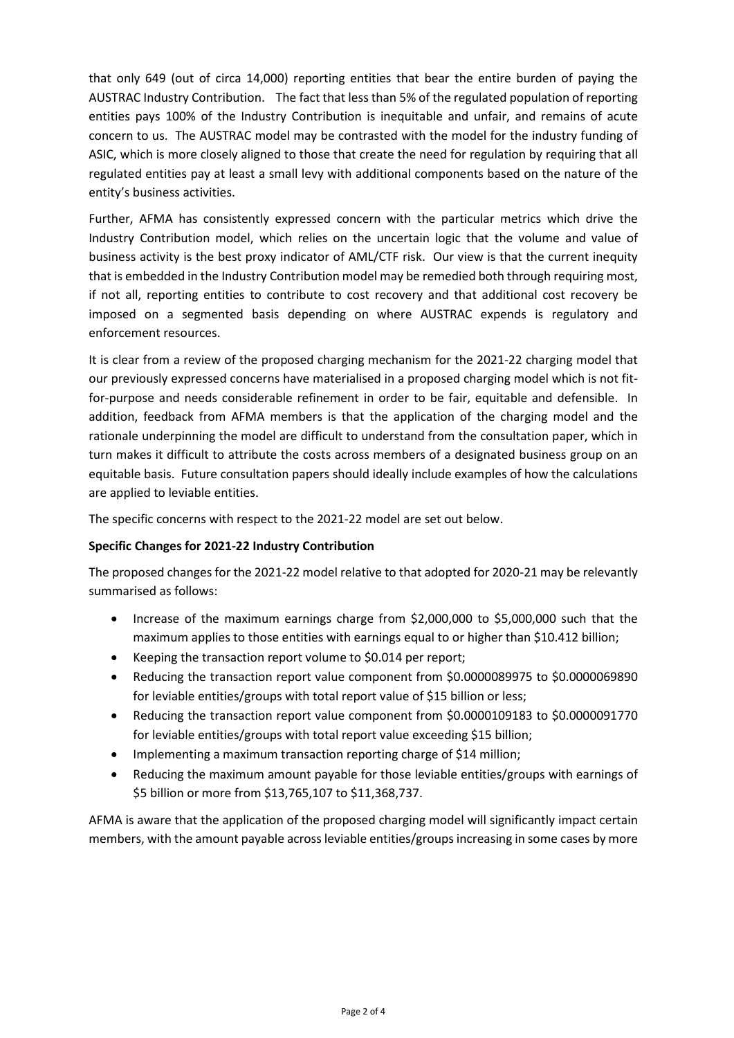that only 649 (out of circa 14,000) reporting entities that bear the entire burden of paying the AUSTRAC Industry Contribution. The fact that less than 5% of the regulated population of reporting entities pays 100% of the Industry Contribution is inequitable and unfair, and remains of acute concern to us. The AUSTRAC model may be contrasted with the model for the industry funding of ASIC, which is more closely aligned to those that create the need for regulation by requiring that all regulated entities pay at least a small levy with additional components based on the nature of the entity's business activities.

Further, AFMA has consistently expressed concern with the particular metrics which drive the Industry Contribution model, which relies on the uncertain logic that the volume and value of business activity is the best proxy indicator of AML/CTF risk. Our view is that the current inequity that is embedded in the Industry Contribution model may be remedied both through requiring most, if not all, reporting entities to contribute to cost recovery and that additional cost recovery be imposed on a segmented basis depending on where AUSTRAC expends is regulatory and enforcement resources.

It is clear from a review of the proposed charging mechanism for the 2021-22 charging model that our previously expressed concerns have materialised in a proposed charging model which is not fitfor-purpose and needs considerable refinement in order to be fair, equitable and defensible. In addition, feedback from AFMA members is that the application of the charging model and the rationale underpinning the model are difficult to understand from the consultation paper, which in turn makes it difficult to attribute the costs across members of a designated business group on an equitable basis. Future consultation papers should ideally include examples of how the calculations are applied to leviable entities.

The specific concerns with respect to the 2021-22 model are set out below.

# **Specific Changes for 2021-22 Industry Contribution**

The proposed changes for the 2021-22 model relative to that adopted for 2020-21 may be relevantly summarised as follows:

- Increase of the maximum earnings charge from \$2,000,000 to \$5,000,000 such that the maximum applies to those entities with earnings equal to or higher than \$10.412 billion;
- Keeping the transaction report volume to \$0.014 per report;
- Reducing the transaction report value component from \$0.0000089975 to \$0.0000069890 for leviable entities/groups with total report value of \$15 billion or less;
- Reducing the transaction report value component from \$0.0000109183 to \$0.0000091770 for leviable entities/groups with total report value exceeding \$15 billion;
- Implementing a maximum transaction reporting charge of \$14 million;
- Reducing the maximum amount payable for those leviable entities/groups with earnings of \$5 billion or more from \$13,765,107 to \$11,368,737.

AFMA is aware that the application of the proposed charging model will significantly impact certain members, with the amount payable across leviable entities/groups increasing in some cases by more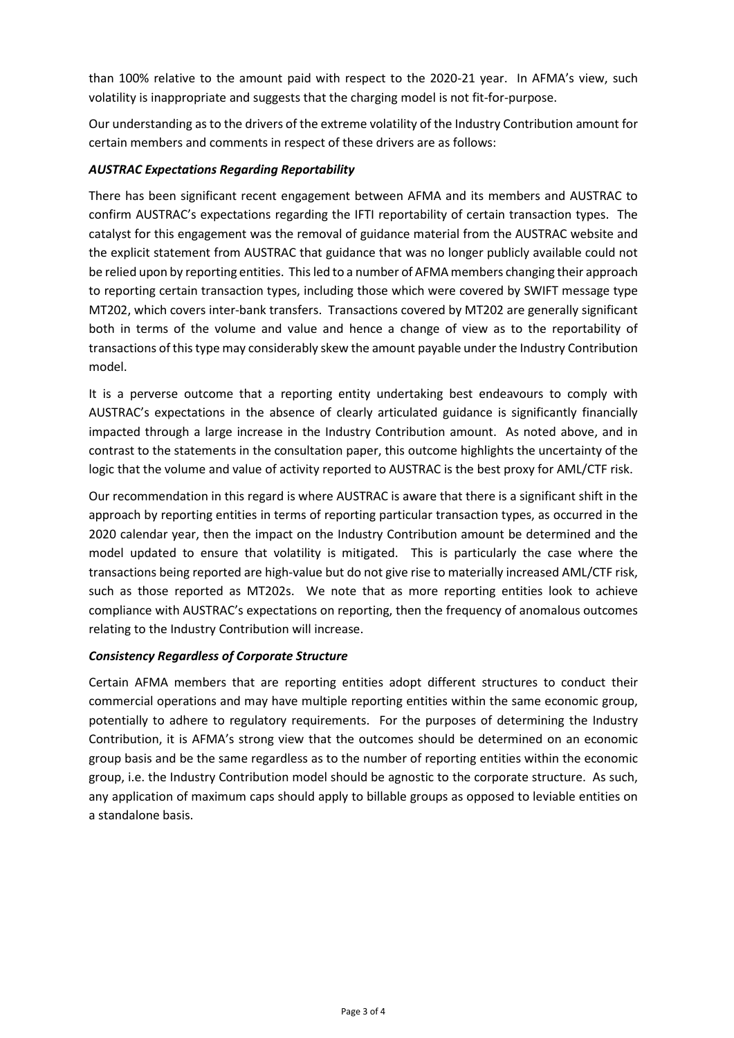than 100% relative to the amount paid with respect to the 2020-21 year. In AFMA's view, such volatility is inappropriate and suggests that the charging model is not fit-for-purpose.

Our understanding as to the drivers of the extreme volatility of the Industry Contribution amount for certain members and comments in respect of these drivers are as follows:

# *AUSTRAC Expectations Regarding Reportability*

There has been significant recent engagement between AFMA and its members and AUSTRAC to confirm AUSTRAC's expectations regarding the IFTI reportability of certain transaction types. The catalyst for this engagement was the removal of guidance material from the AUSTRAC website and the explicit statement from AUSTRAC that guidance that was no longer publicly available could not be relied upon by reporting entities. This led to a number of AFMA members changing their approach to reporting certain transaction types, including those which were covered by SWIFT message type MT202, which covers inter-bank transfers. Transactions covered by MT202 are generally significant both in terms of the volume and value and hence a change of view as to the reportability of transactions of this type may considerably skew the amount payable under the Industry Contribution model.

It is a perverse outcome that a reporting entity undertaking best endeavours to comply with AUSTRAC's expectations in the absence of clearly articulated guidance is significantly financially impacted through a large increase in the Industry Contribution amount. As noted above, and in contrast to the statements in the consultation paper, this outcome highlights the uncertainty of the logic that the volume and value of activity reported to AUSTRAC is the best proxy for AML/CTF risk.

Our recommendation in this regard is where AUSTRAC is aware that there is a significant shift in the approach by reporting entities in terms of reporting particular transaction types, as occurred in the 2020 calendar year, then the impact on the Industry Contribution amount be determined and the model updated to ensure that volatility is mitigated. This is particularly the case where the transactions being reported are high-value but do not give rise to materially increased AML/CTF risk, such as those reported as MT202s. We note that as more reporting entities look to achieve compliance with AUSTRAC's expectations on reporting, then the frequency of anomalous outcomes relating to the Industry Contribution will increase.

# *Consistency Regardless of Corporate Structure*

Certain AFMA members that are reporting entities adopt different structures to conduct their commercial operations and may have multiple reporting entities within the same economic group, potentially to adhere to regulatory requirements. For the purposes of determining the Industry Contribution, it is AFMA's strong view that the outcomes should be determined on an economic group basis and be the same regardless as to the number of reporting entities within the economic group, i.e. the Industry Contribution model should be agnostic to the corporate structure. As such, any application of maximum caps should apply to billable groups as opposed to leviable entities on a standalone basis.